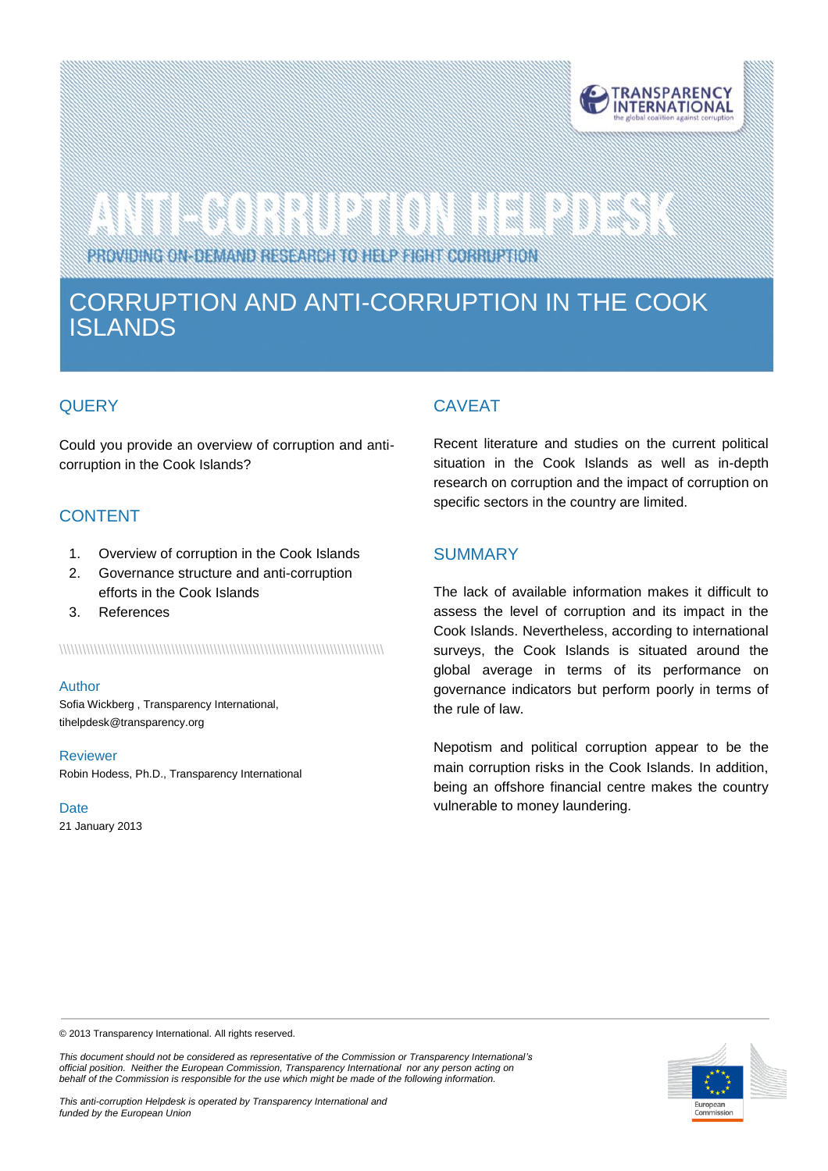

# 

PROVIDING ON-DEMAND RESEARCH TO HELP FIGHT CORRUPTION

# CORRUPTION AND ANTI-CORRUPTION IN THE COOK ISLANDS

# **QUERY**

is is

Could you provide an overview of corruption and anticorruption in the Cook Islands?

# CONTENT

- 1. Overview of corruption in the Cook Islands
- 2. Governance structure and anti-corruption efforts in the Cook Islands
- 3. References

\\\\\\\\\\\\\\\\\\\\\\\\\\\\\\\\\\\\\\\\\\\\\\\\\\\\\\\\\\\\\\\\\\\\\\\\\\\\\\\\\\\\

#### Author

Sofia Wickberg , Transparency International, tihelpdes[k@transparency.org](mailto:mchene@transparency.org%20?subject=U4%20Expert%20Answer)

#### Reviewer

Robin Hodess, Ph.D., Transparency International

**Date** 21 January 2013

# CAVEAT

Recent literature and studies on the current political situation in the Cook Islands as well as in-depth research on corruption and the impact of corruption on specific sectors in the country are limited.

# **SUMMARY**

The lack of available information makes it difficult to assess the level of corruption and its impact in the Cook Islands. Nevertheless, according to international surveys, the Cook Islands is situated around the global average in terms of its performance on governance indicators but perform poorly in terms of the rule of law.

Nepotism and political corruption appear to be the main corruption risks in the Cook Islands. In addition, being an offshore financial centre makes the country vulnerable to money laundering.

© 2013 Transparency International. All rights reserved.

*This document should not be considered as representative of the Commission or Transparency International's official position. Neither the European Commission, Transparency International nor any person acting on behalf of the Commission is responsible for the use which might be made of the following information.* 

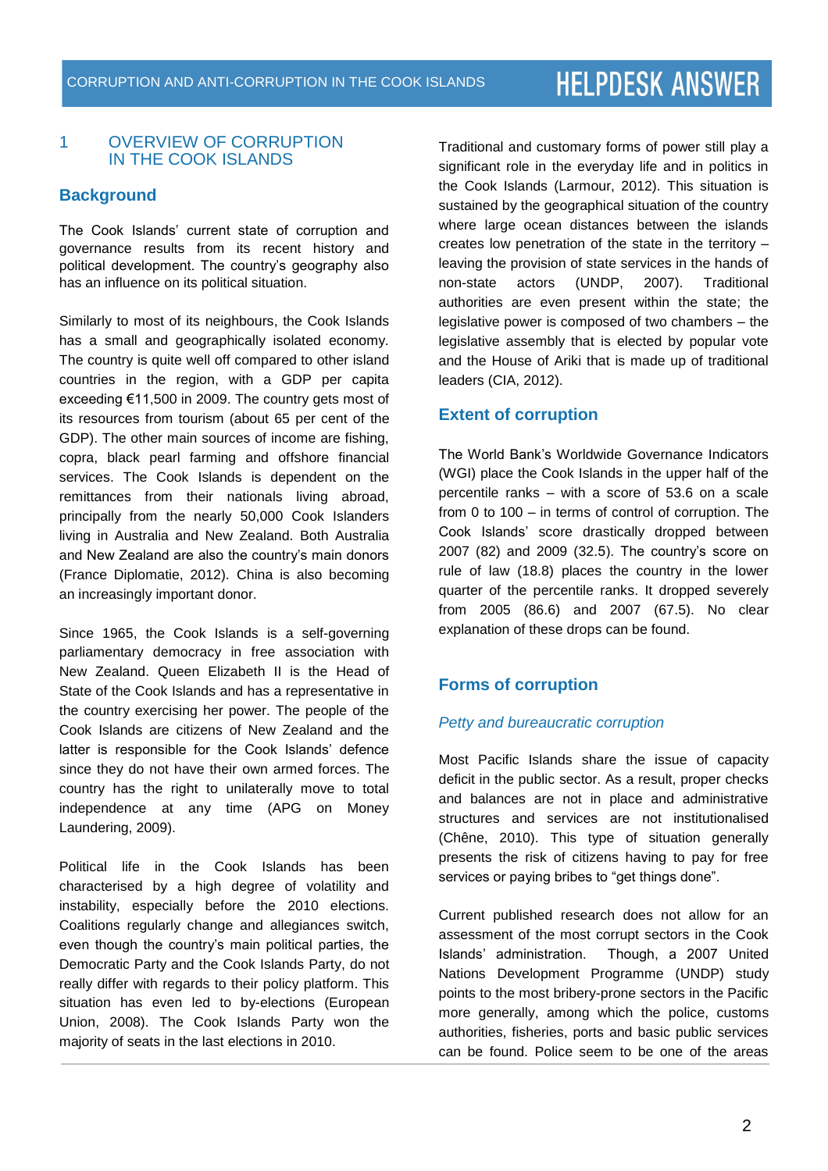### 1 OVERVIEW OF CORRUPTION IN THE COOK ISLANDS

# **Background**

The Cook Islands' current state of corruption and governance results from its recent history and political development. The country's geography also has an influence on its political situation.

Similarly to most of its neighbours, the Cook Islands has a small and geographically isolated economy. The country is quite well off compared to other island countries in the region, with a GDP per capita exceeding €11,500 in 2009. The country gets most of its resources from tourism (about 65 per cent of the GDP). The other main sources of income are fishing, copra, black pearl farming and offshore financial services. The Cook Islands is dependent on the remittances from their nationals living abroad, principally from the nearly 50,000 Cook Islanders living in Australia and New Zealand. Both Australia and New Zealand are also the country's main donors (France Diplomatie, 2012). China is also becoming an increasingly important donor.

Since 1965, the Cook Islands is a self-governing parliamentary democracy in free association with New Zealand. Queen Elizabeth II is the Head of State of the Cook Islands and has a representative in the country exercising her power. The people of the Cook Islands are citizens of New Zealand and the latter is responsible for the Cook Islands' defence since they do not have their own armed forces. The country has the right to unilaterally move to total independence at any time (APG on Money Laundering, 2009).

Political life in the Cook Islands has been characterised by a high degree of volatility and instability, especially before the 2010 elections. Coalitions regularly change and allegiances switch, even though the country's main political parties, the Democratic Party and the Cook Islands Party, do not really differ with regards to their policy platform. This situation has even led to by-elections (European Union, 2008). The Cook Islands Party won the majority of seats in the last elections in 2010.

Traditional and customary forms of power still play a significant role in the everyday life and in politics in the Cook Islands (Larmour, 2012). This situation is sustained by the geographical situation of the country where large ocean distances between the islands creates low penetration of the state in the territory – leaving the provision of state services in the hands of non-state actors (UNDP, 2007). Traditional authorities are even present within the state; the legislative power is composed of two chambers – the legislative assembly that is elected by popular vote and the House of Ariki that is made up of traditional leaders (CIA, 2012).

# **Extent of corruption**

The World Bank's Worldwide Governance Indicators (WGI) place the Cook Islands in the upper half of the percentile ranks – with a score of 53.6 on a scale from 0 to 100 – in terms of control of corruption. The Cook Islands' score drastically dropped between 2007 (82) and 2009 (32.5). The country's score on rule of law (18.8) places the country in the lower quarter of the percentile ranks. It dropped severely from 2005 (86.6) and 2007 (67.5). No clear explanation of these drops can be found.

# **Forms of corruption**

#### *Petty and bureaucratic corruption*

Most Pacific Islands share the issue of capacity deficit in the public sector. As a result, proper checks and balances are not in place and administrative structures and services are not institutionalised (Chêne, 2010). This type of situation generally presents the risk of citizens having to pay for free services or paying bribes to "get things done".

Current published research does not allow for an assessment of the most corrupt sectors in the Cook Islands' administration. Though, a 2007 United Nations Development Programme (UNDP) study points to the most bribery-prone sectors in the Pacific more generally, among which the police, customs authorities, fisheries, ports and basic public services can be found. Police seem to be one of the areas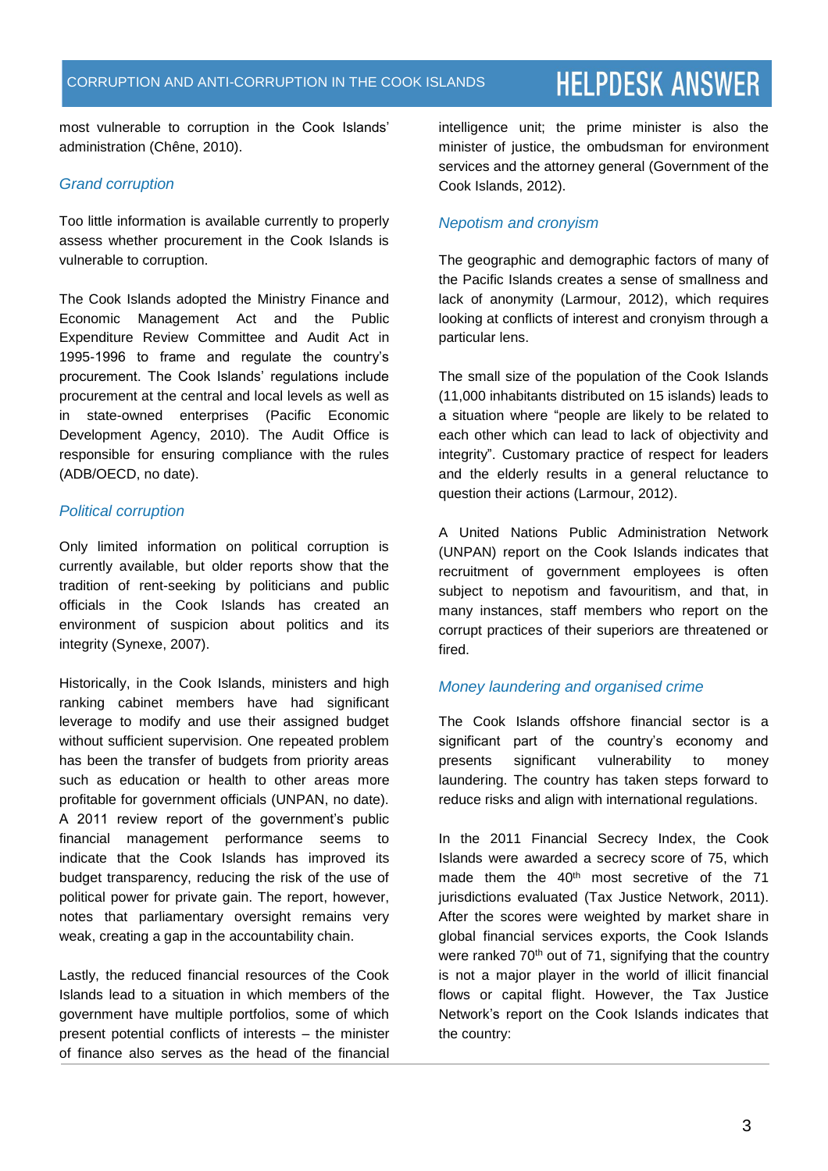most vulnerable to corruption in the Cook Islands' administration (Chêne, 2010).

# *Grand corruption*

Too little information is available currently to properly assess whether procurement in the Cook Islands is vulnerable to corruption.

The Cook Islands adopted the Ministry Finance and Economic Management Act and the Public Expenditure Review Committee and Audit Act in 1995-1996 to frame and regulate the country's procurement. The Cook Islands' regulations include procurement at the central and local levels as well as in state-owned enterprises (Pacific Economic Development Agency, 2010). The Audit Office is responsible for ensuring compliance with the rules (ADB/OECD, no date).

# *Political corruption*

Only limited information on political corruption is currently available, but older reports show that the tradition of rent-seeking by politicians and public officials in the Cook Islands has created an environment of suspicion about politics and its integrity (Synexe, 2007).

Historically, in the Cook Islands, ministers and high ranking cabinet members have had significant leverage to modify and use their assigned budget without sufficient supervision. One repeated problem has been the transfer of budgets from priority areas such as education or health to other areas more profitable for government officials (UNPAN, no date). A 2011 review report of the government's public financial management performance seems to indicate that the Cook Islands has improved its budget transparency, reducing the risk of the use of political power for private gain. The report, however, notes that parliamentary oversight remains very weak, creating a gap in the accountability chain.

Lastly, the reduced financial resources of the Cook Islands lead to a situation in which members of the government have multiple portfolios, some of which present potential conflicts of interests – the minister of finance also serves as the head of the financial intelligence unit; the prime minister is also the minister of justice, the ombudsman for environment services and the attorney general (Government of the Cook Islands, 2012).

# *Nepotism and cronyism*

The geographic and demographic factors of many of the Pacific Islands creates a sense of smallness and lack of anonymity (Larmour, 2012), which requires looking at conflicts of interest and cronyism through a particular lens.

The small size of the population of the Cook Islands (11,000 inhabitants distributed on 15 islands) leads to a situation where "people are likely to be related to each other which can lead to lack of objectivity and integrity". Customary practice of respect for leaders and the elderly results in a general reluctance to question their actions (Larmour, 2012).

A United Nations Public Administration Network (UNPAN) report on the Cook Islands indicates that recruitment of government employees is often subject to nepotism and favouritism, and that, in many instances, staff members who report on the corrupt practices of their superiors are threatened or fired.

# *Money laundering and organised crime*

The Cook Islands offshore financial sector is a significant part of the country's economy and presents significant vulnerability to money laundering. The country has taken steps forward to reduce risks and align with international regulations.

In the 2011 Financial Secrecy Index, the Cook Islands were awarded a secrecy score of 75, which made them the 40<sup>th</sup> most secretive of the 71 jurisdictions evaluated (Tax Justice Network, 2011). After the scores were weighted by market share in global financial services exports, the Cook Islands were ranked  $70<sup>th</sup>$  out of 71, signifying that the country is not a major player in the world of illicit financial flows or capital flight. However, the Tax Justice Network's report on the Cook Islands indicates that the country: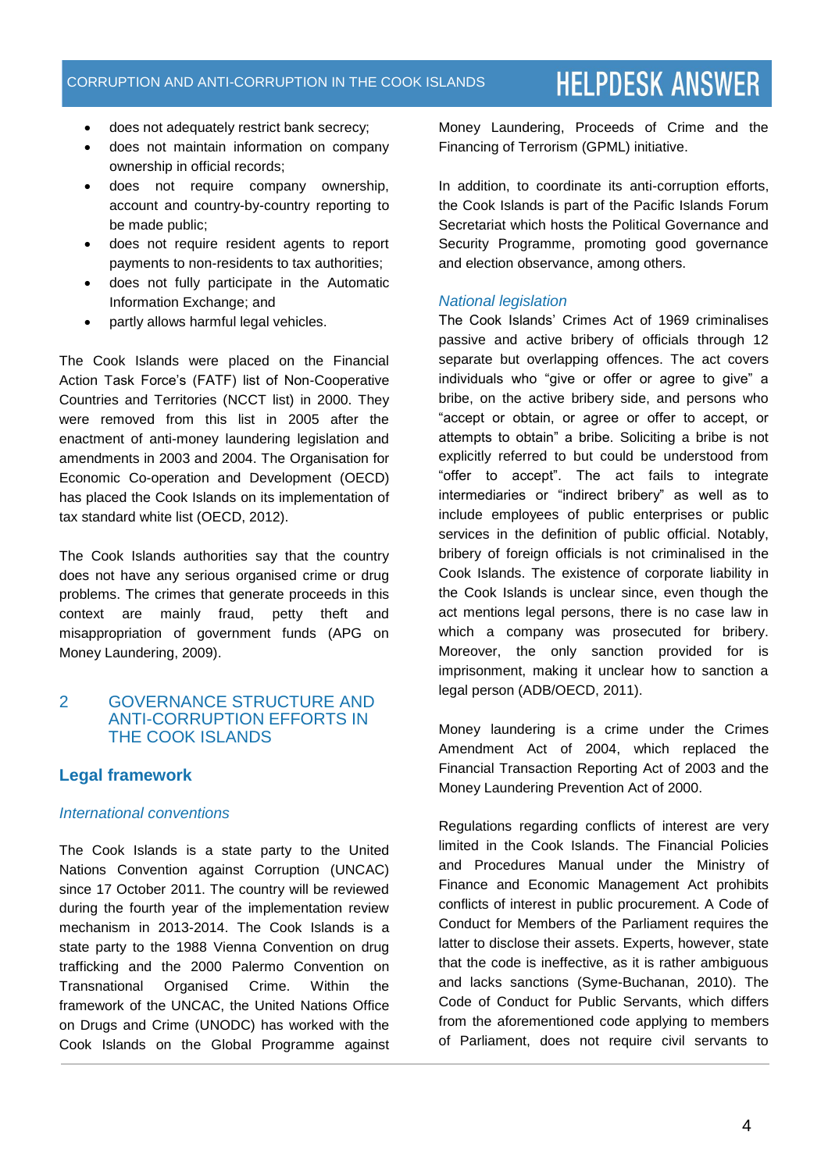- does not adequately restrict bank secrecy;
- does not maintain information on company ownership in official records;
- does not require company ownership, account and country-by-country reporting to be made public;
- does not require resident agents to report payments to non-residents to tax authorities;
- does not fully participate in the Automatic Information Exchange; and
- partly allows harmful legal vehicles.

The Cook Islands were placed on the Financial Action Task Force's (FATF) list of Non-Cooperative Countries and Territories (NCCT list) in 2000. They were removed from this list in 2005 after the enactment of anti-money laundering legislation and amendments in 2003 and 2004. The Organisation for Economic Co-operation and Development (OECD) has placed the Cook Islands on its implementation of tax standard white list (OECD, 2012).

The Cook Islands authorities say that the country does not have any serious organised crime or drug problems. The crimes that generate proceeds in this context are mainly fraud, petty theft and misappropriation of government funds (APG on Money Laundering, 2009).

# 2 GOVERNANCE STRUCTURE AND ANTI-CORRUPTION EFFORTS IN THE COOK ISLANDS

# **Legal framework**

#### *International conventions*

The Cook Islands is a state party to the United Nations Convention against Corruption (UNCAC) since 17 October 2011. The country will be reviewed during the fourth year of the implementation review mechanism in 2013-2014. The Cook Islands is a state party to the 1988 Vienna Convention on drug trafficking and the 2000 Palermo Convention on Transnational Organised Crime. Within the framework of the UNCAC, the United Nations Office on Drugs and Crime (UNODC) has worked with the Cook Islands on the Global Programme against Money Laundering, Proceeds of Crime and the Financing of Terrorism (GPML) initiative.

In addition, to coordinate its anti-corruption efforts, the Cook Islands is part of the Pacific Islands Forum Secretariat which hosts the Political Governance and Security Programme, promoting good governance and election observance, among others.

#### *National legislation*

The Cook Islands' Crimes Act of 1969 criminalises passive and active bribery of officials through 12 separate but overlapping offences. The act covers individuals who "give or offer or agree to give" a bribe, on the active bribery side, and persons who "accept or obtain, or agree or offer to accept, or attempts to obtain" a bribe. Soliciting a bribe is not explicitly referred to but could be understood from "offer to accept". The act fails to integrate intermediaries or "indirect bribery" as well as to include employees of public enterprises or public services in the definition of public official. Notably, bribery of foreign officials is not criminalised in the Cook Islands. The existence of corporate liability in the Cook Islands is unclear since, even though the act mentions legal persons, there is no case law in which a company was prosecuted for bribery. Moreover, the only sanction provided for is imprisonment, making it unclear how to sanction a legal person (ADB/OECD, 2011).

Money laundering is a crime under the Crimes Amendment Act of 2004, which replaced the Financial Transaction Reporting Act of 2003 and the Money Laundering Prevention Act of 2000.

Regulations regarding conflicts of interest are very limited in the Cook Islands. The Financial Policies and Procedures Manual under the Ministry of Finance and Economic Management Act prohibits conflicts of interest in public procurement. A Code of Conduct for Members of the Parliament requires the latter to disclose their assets. Experts, however, state that the code is ineffective, as it is rather ambiguous and lacks sanctions (Syme-Buchanan, 2010). The Code of Conduct for Public Servants, which differs from the aforementioned code applying to members of Parliament, does not require civil servants to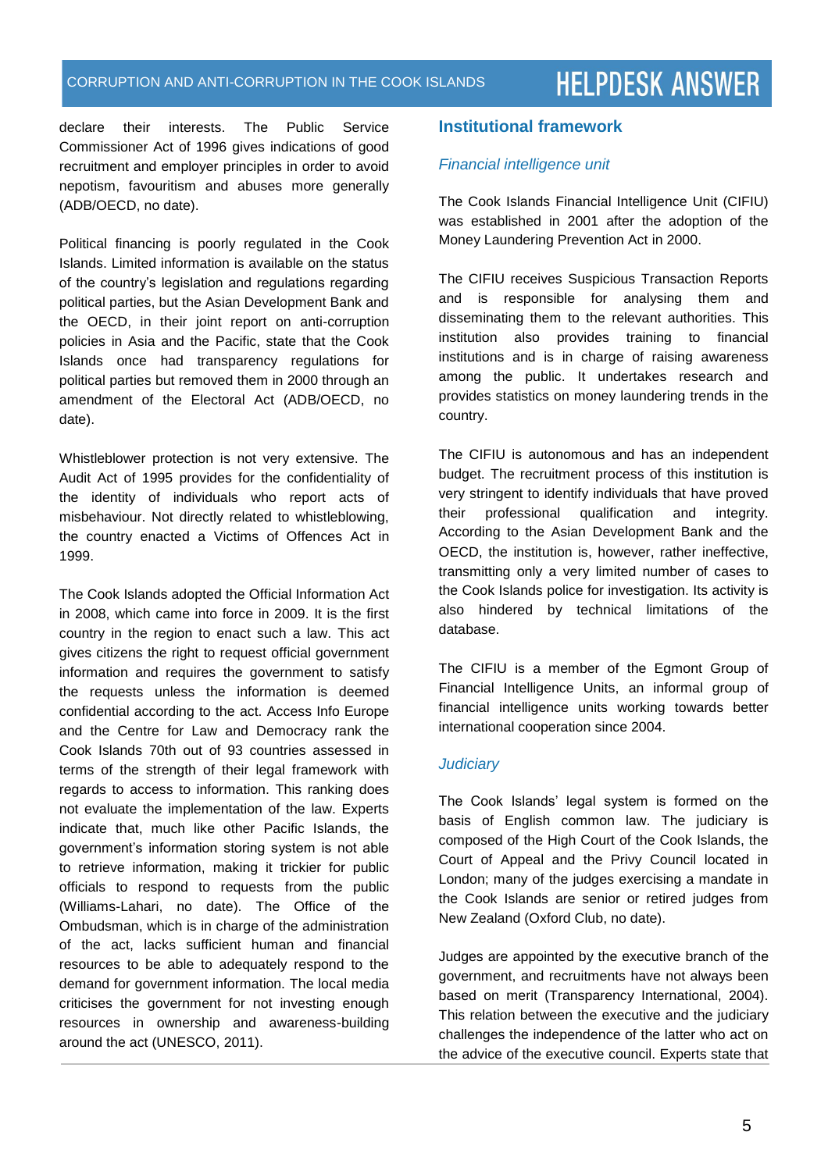declare their interests. The Public Service Commissioner Act of 1996 gives indications of good recruitment and employer principles in order to avoid nepotism, favouritism and abuses more generally (ADB/OECD, no date).

Political financing is poorly regulated in the Cook Islands. Limited information is available on the status of the country's legislation and regulations regarding political parties, but the Asian Development Bank and the OECD, in their joint report on anti-corruption policies in Asia and the Pacific, state that the Cook Islands once had transparency regulations for political parties but removed them in 2000 through an amendment of the Electoral Act (ADB/OECD, no date).

Whistleblower protection is not very extensive. The Audit Act of 1995 provides for the confidentiality of the identity of individuals who report acts of misbehaviour. Not directly related to whistleblowing, the country enacted a Victims of Offences Act in 1999.

The Cook Islands adopted the Official Information Act in 2008, which came into force in 2009. It is the first country in the region to enact such a law. This act gives citizens the right to request official government information and requires the government to satisfy the requests unless the information is deemed confidential according to the act. Access Info Europe and the Centre for Law and Democracy rank the Cook Islands 70th out of 93 countries assessed in terms of the strength of their legal framework with regards to access to information. This ranking does not evaluate the implementation of the law. Experts indicate that, much like other Pacific Islands, the government's information storing system is not able to retrieve information, making it trickier for public officials to respond to requests from the public (Williams-Lahari, no date). The Office of the Ombudsman, which is in charge of the administration of the act, lacks sufficient human and financial resources to be able to adequately respond to the demand for government information. The local media criticises the government for not investing enough resources in ownership and awareness-building around the act (UNESCO, 2011).

# **Institutional framework**

### *Financial intelligence unit*

The Cook Islands Financial Intelligence Unit (CIFIU) was established in 2001 after the adoption of the Money Laundering Prevention Act in 2000.

The CIFIU receives Suspicious Transaction Reports and is responsible for analysing them and disseminating them to the relevant authorities. This institution also provides training to financial institutions and is in charge of raising awareness among the public. It undertakes research and provides statistics on money laundering trends in the country.

The CIFIU is autonomous and has an independent budget. The recruitment process of this institution is very stringent to identify individuals that have proved their professional qualification and integrity. According to the Asian Development Bank and the OECD, the institution is, however, rather ineffective, transmitting only a very limited number of cases to the Cook Islands police for investigation. Its activity is also hindered by technical limitations of the database.

The CIFIU is a member of the Egmont Group of Financial Intelligence Units, an informal group of financial intelligence units working towards better international cooperation since 2004.

#### *Judiciary*

The Cook Islands' legal system is formed on the basis of English common law. The judiciary is composed of the High Court of the Cook Islands, the Court of Appeal and the Privy Council located in London; many of the judges exercising a mandate in the Cook Islands are senior or retired judges from New Zealand (Oxford Club, no date).

Judges are appointed by the executive branch of the government, and recruitments have not always been based on merit (Transparency International, 2004). This relation between the executive and the judiciary challenges the independence of the latter who act on the advice of the executive council. Experts state that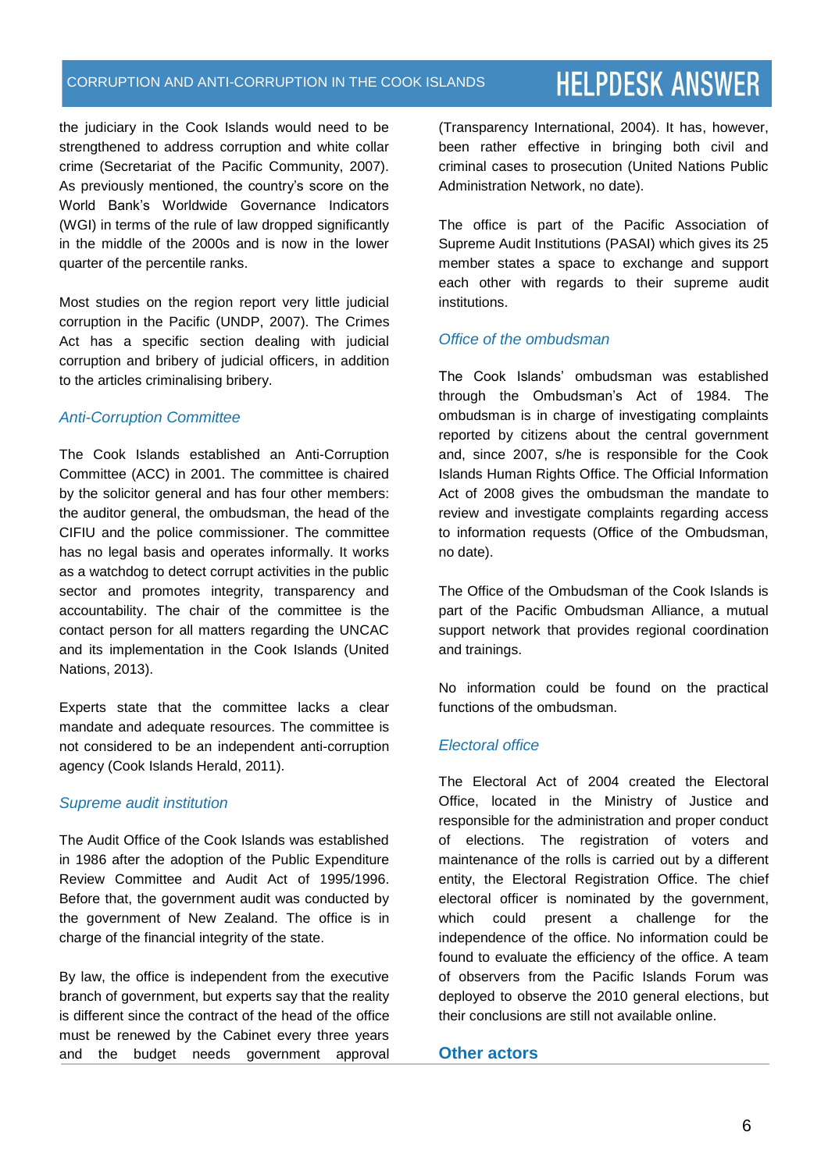#### CORRUPTION AND ANTI-CORRUPTION IN THE COOK ISLANDS

# **HELPDESK ANSWER**

the judiciary in the Cook Islands would need to be strengthened to address corruption and white collar crime (Secretariat of the Pacific Community, 2007). As previously mentioned, the country's score on the World Bank's Worldwide Governance Indicators (WGI) in terms of the rule of law dropped significantly in the middle of the 2000s and is now in the lower quarter of the percentile ranks.

Most studies on the region report very little judicial corruption in the Pacific (UNDP, 2007). The Crimes Act has a specific section dealing with judicial corruption and bribery of judicial officers, in addition to the articles criminalising bribery.

# *Anti-Corruption Committee*

The Cook Islands established an Anti-Corruption Committee (ACC) in 2001. The committee is chaired by the solicitor general and has four other members: the auditor general, the ombudsman, the head of the CIFIU and the police commissioner. The committee has no legal basis and operates informally. It works as a watchdog to detect corrupt activities in the public sector and promotes integrity, transparency and accountability. The chair of the committee is the contact person for all matters regarding the UNCAC and its implementation in the Cook Islands (United Nations, 2013).

Experts state that the committee lacks a clear mandate and adequate resources. The committee is not considered to be an independent anti-corruption agency (Cook Islands Herald, 2011).

# *Supreme audit institution*

The Audit Office of the Cook Islands was established in 1986 after the adoption of the Public Expenditure Review Committee and Audit Act of 1995/1996. Before that, the government audit was conducted by the government of New Zealand. The office is in charge of the financial integrity of the state.

By law, the office is independent from the executive branch of government, but experts say that the reality is different since the contract of the head of the office must be renewed by the Cabinet every three years and the budget needs government approval (Transparency International, 2004). It has, however, been rather effective in bringing both civil and criminal cases to prosecution (United Nations Public Administration Network, no date).

The office is part of the Pacific Association of Supreme Audit Institutions (PASAI) which gives its 25 member states a space to exchange and support each other with regards to their supreme audit institutions.

# *Office of the ombudsman*

The Cook Islands' ombudsman was established through the Ombudsman's Act of 1984. The ombudsman is in charge of investigating complaints reported by citizens about the central government and, since 2007, s/he is responsible for the Cook Islands Human Rights Office. The Official Information Act of 2008 gives the ombudsman the mandate to review and investigate complaints regarding access to information requests (Office of the Ombudsman, no date).

The Office of the Ombudsman of the Cook Islands is part of the Pacific Ombudsman Alliance, a mutual support network that provides regional coordination and trainings.

No information could be found on the practical functions of the ombudsman.

# *Electoral office*

The Electoral Act of 2004 created the Electoral Office, located in the Ministry of Justice and responsible for the administration and proper conduct of elections. The registration of voters and maintenance of the rolls is carried out by a different entity, the Electoral Registration Office. The chief electoral officer is nominated by the government, which could present a challenge for the independence of the office. No information could be found to evaluate the efficiency of the office. A team of observers from the Pacific Islands Forum was deployed to observe the 2010 general elections, but their conclusions are still not available online.

#### **Other actors**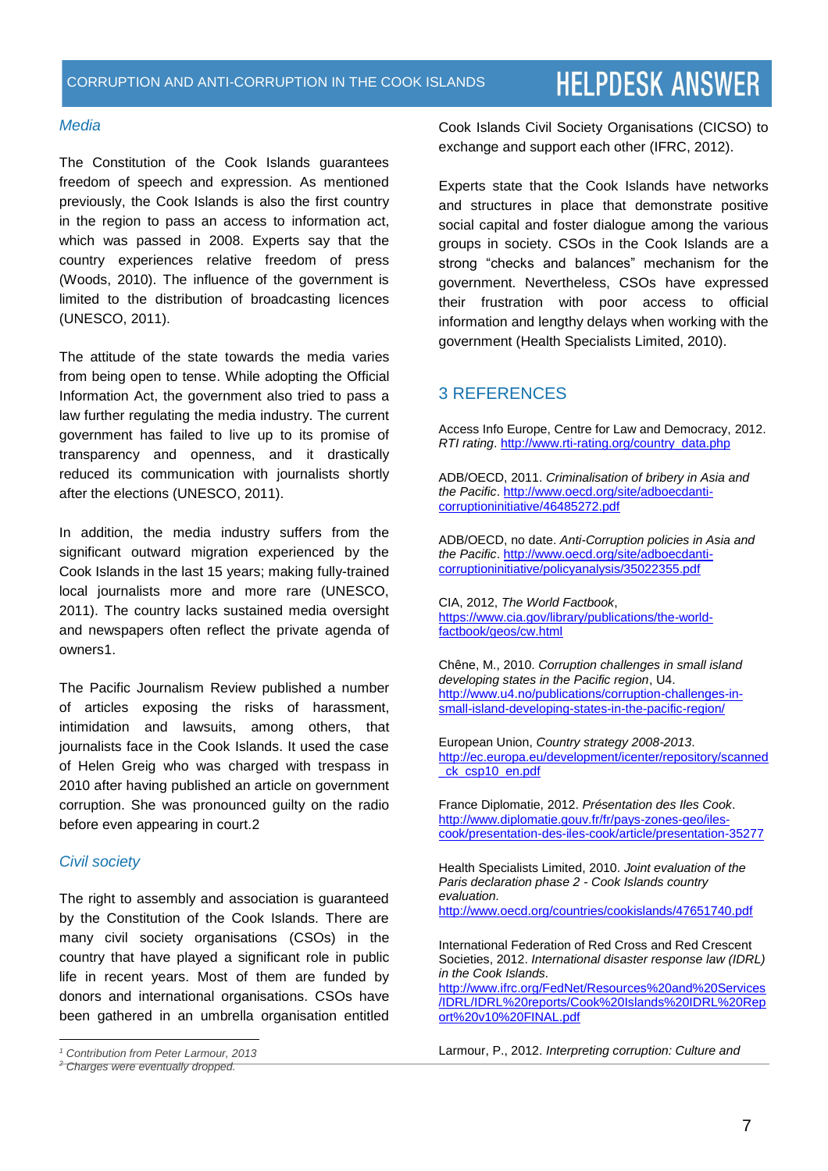#### *Media*

The Constitution of the Cook Islands guarantees freedom of speech and expression. As mentioned previously, the Cook Islands is also the first country in the region to pass an access to information act, which was passed in 2008. Experts say that the country experiences relative freedom of press (Woods, 2010). The influence of the government is limited to the distribution of broadcasting licences (UNESCO, 2011).

The attitude of the state towards the media varies from being open to tense. While adopting the Official Information Act, the government also tried to pass a law further regulating the media industry. The current government has failed to live up to its promise of transparency and openness, and it drastically reduced its communication with journalists shortly after the elections (UNESCO, 2011).

In addition, the media industry suffers from the significant outward migration experienced by the Cook Islands in the last 15 years; making fully-trained local journalists more and more rare (UNESCO, 2011). The country lacks sustained media oversight and newspapers often reflect the private agenda of owners1.

The Pacific Journalism Review published a number of articles exposing the risks of harassment, intimidation and lawsuits, among others, that journalists face in the Cook Islands. It used the case of Helen Greig who was charged with trespass in 2010 after having published an article on government corruption. She was pronounced guilty on the radio before even appearing in court.2

#### *Civil society*

 $\overline{a}$ 

The right to assembly and association is guaranteed by the Constitution of the Cook Islands. There are many civil society organisations (CSOs) in the country that have played a significant role in public life in recent years. Most of them are funded by donors and international organisations. CSOs have been gathered in an umbrella organisation entitled Cook Islands Civil Society Organisations (CICSO) to exchange and support each other (IFRC, 2012).

Experts state that the Cook Islands have networks and structures in place that demonstrate positive social capital and foster dialogue among the various groups in society. CSOs in the Cook Islands are a strong "checks and balances" mechanism for the government. Nevertheless, CSOs have expressed their frustration with poor access to official information and lengthy delays when working with the government (Health Specialists Limited, 2010).

# 3 REFERENCES

Access Info Europe, Centre for Law and Democracy, 2012. *RTI rating*[. http://www.rti-rating.org/country\\_data.php](http://www.rti-rating.org/country_data.php)

ADB/OECD, 2011. *Criminalisation of bribery in Asia and the Pacific*[. http://www.oecd.org/site/adboecdanti](http://www.oecd.org/site/adboecdanti-corruptioninitiative/46485272.pdf)[corruptioninitiative/46485272.pdf](http://www.oecd.org/site/adboecdanti-corruptioninitiative/46485272.pdf)

ADB/OECD, no date. *Anti-Corruption policies in Asia and the Pacific*[. http://www.oecd.org/site/adboecdanti](http://www.oecd.org/site/adboecdanti-corruptioninitiative/policyanalysis/35022355.pdf)[corruptioninitiative/policyanalysis/35022355.pdf](http://www.oecd.org/site/adboecdanti-corruptioninitiative/policyanalysis/35022355.pdf)

CIA, 2012, *The World Factbook*, [https://www.cia.gov/library/publications/the-world](https://www.cia.gov/library/publications/the-world-factbook/geos/cw.html)[factbook/geos/cw.html](https://www.cia.gov/library/publications/the-world-factbook/geos/cw.html)

Chêne, M., 2010. *Corruption challenges in small island developing states in the Pacific region*, U4. [http://www.u4.no/publications/corruption-challenges-in](http://www.u4.no/publications/corruption-challenges-in-small-island-developing-states-in-the-pacific-region/)[small-island-developing-states-in-the-pacific-region/](http://www.u4.no/publications/corruption-challenges-in-small-island-developing-states-in-the-pacific-region/)

European Union, *Country strategy 2008-2013*. [http://ec.europa.eu/development/icenter/repository/scanned](http://ec.europa.eu/development/icenter/repository/scanned_ck_csp10_en.pdf) [\\_ck\\_csp10\\_en.pdf](http://ec.europa.eu/development/icenter/repository/scanned_ck_csp10_en.pdf)

France Diplomatie, 2012. *Présentation des Iles Cook*. [http://www.diplomatie.gouv.fr/fr/pays-zones-geo/iles](http://www.diplomatie.gouv.fr/fr/pays-zones-geo/iles-cook/presentation-des-iles-cook/article/presentation-35277)[cook/presentation-des-iles-cook/article/presentation-35277](http://www.diplomatie.gouv.fr/fr/pays-zones-geo/iles-cook/presentation-des-iles-cook/article/presentation-35277)

Health Specialists Limited, 2010. *Joint evaluation of the Paris declaration phase 2 - Cook Islands country evaluation.* <http://www.oecd.org/countries/cookislands/47651740.pdf>

International Federation of Red Cross and Red Crescent Societies, 2012. *International disaster response law (IDRL) in the Cook Islands.*

[http://www.ifrc.org/FedNet/Resources%20and%20Services](http://www.ifrc.org/FedNet/Resources%20and%20Services/IDRL/IDRL%20reports/Cook%20Islands%20IDRL%20Report%20v10%20FINAL.pdf) [/IDRL/IDRL%20reports/Cook%20Islands%20IDRL%20Rep](http://www.ifrc.org/FedNet/Resources%20and%20Services/IDRL/IDRL%20reports/Cook%20Islands%20IDRL%20Report%20v10%20FINAL.pdf) [ort%20v10%20FINAL.pdf](http://www.ifrc.org/FedNet/Resources%20and%20Services/IDRL/IDRL%20reports/Cook%20Islands%20IDRL%20Report%20v10%20FINAL.pdf)

Larmour, P., 2012. *Interpreting corruption: Culture and* 

*<sup>1</sup> Contribution from Peter Larmour, 2013*

*<sup>2</sup> Charges were eventually dropped.*